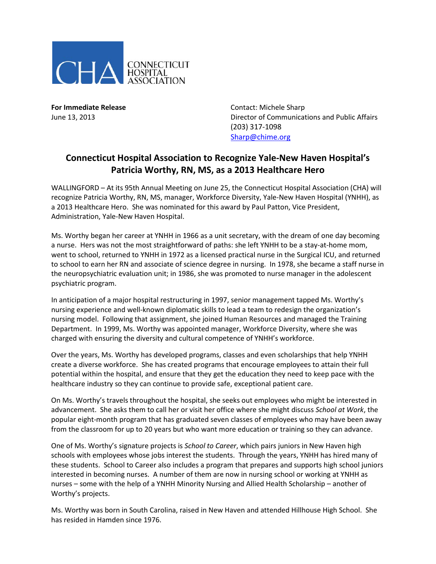

**For Immediate Release Contact: Michele Sharp** June 13, 2013 Director of Communications and Public Affairs (203) 317-1098 [Sharp@chime.org](mailto:Sharp@chime.org)

## **Connecticut Hospital Association to Recognize Yale-New Haven Hospital's Patricia Worthy, RN, MS, as a 2013 Healthcare Hero**

WALLINGFORD – At its 95th Annual Meeting on June 25, the Connecticut Hospital Association (CHA) will recognize Patricia Worthy, RN, MS, manager, Workforce Diversity, Yale-New Haven Hospital (YNHH), as a 2013 Healthcare Hero. She was nominated for this award by Paul Patton, Vice President, Administration, Yale-New Haven Hospital.

Ms. Worthy began her career at YNHH in 1966 as a unit secretary, with the dream of one day becoming a nurse. Hers was not the most straightforward of paths: she left YNHH to be a stay-at-home mom, went to school, returned to YNHH in 1972 as a licensed practical nurse in the Surgical ICU, and returned to school to earn her RN and associate of science degree in nursing. In 1978, she became a staff nurse in the neuropsychiatric evaluation unit; in 1986, she was promoted to nurse manager in the adolescent psychiatric program.

In anticipation of a major hospital restructuring in 1997, senior management tapped Ms. Worthy's nursing experience and well-known diplomatic skills to lead a team to redesign the organization's nursing model. Following that assignment, she joined Human Resources and managed the Training Department. In 1999, Ms. Worthy was appointed manager, Workforce Diversity, where she was charged with ensuring the diversity and cultural competence of YNHH's workforce.

Over the years, Ms. Worthy has developed programs, classes and even scholarships that help YNHH create a diverse workforce. She has created programs that encourage employees to attain their full potential within the hospital, and ensure that they get the education they need to keep pace with the healthcare industry so they can continue to provide safe, exceptional patient care.

On Ms. Worthy's travels throughout the hospital, she seeks out employees who might be interested in advancement. She asks them to call her or visit her office where she might discuss *School at Work*, the popular eight-month program that has graduated seven classes of employees who may have been away from the classroom for up to 20 years but who want more education or training so they can advance.

One of Ms. Worthy's signature projects is *School to Career*, which pairs juniors in New Haven high schools with employees whose jobs interest the students. Through the years, YNHH has hired many of these students. School to Career also includes a program that prepares and supports high school juniors interested in becoming nurses. A number of them are now in nursing school or working at YNHH as nurses – some with the help of a YNHH Minority Nursing and Allied Health Scholarship – another of Worthy's projects.

Ms. Worthy was born in South Carolina, raised in New Haven and attended Hillhouse High School. She has resided in Hamden since 1976.